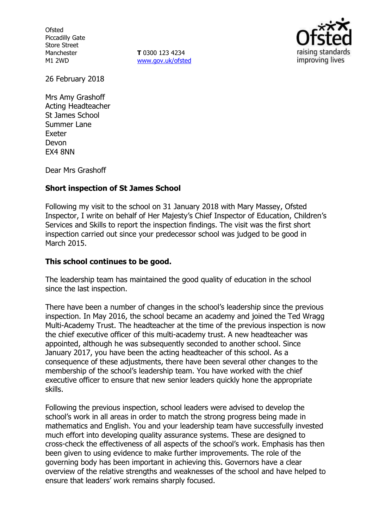**Ofsted** Piccadilly Gate Store Street Manchester M1 2WD

**T** 0300 123 4234 [www.gov.uk/ofsted](http://www.gov.uk/ofsted)



26 February 2018

Mrs Amy Grashoff Acting Headteacher St James School Summer Lane Exeter Devon EX4 8NN

Dear Mrs Grashoff

### **Short inspection of St James School**

Following my visit to the school on 31 January 2018 with Mary Massey, Ofsted Inspector, I write on behalf of Her Majesty's Chief Inspector of Education, Children's Services and Skills to report the inspection findings. The visit was the first short inspection carried out since your predecessor school was judged to be good in March 2015.

#### **This school continues to be good.**

The leadership team has maintained the good quality of education in the school since the last inspection.

There have been a number of changes in the school's leadership since the previous inspection. In May 2016, the school became an academy and joined the Ted Wragg Multi-Academy Trust. The headteacher at the time of the previous inspection is now the chief executive officer of this multi-academy trust. A new headteacher was appointed, although he was subsequently seconded to another school. Since January 2017, you have been the acting headteacher of this school. As a consequence of these adjustments, there have been several other changes to the membership of the school's leadership team. You have worked with the chief executive officer to ensure that new senior leaders quickly hone the appropriate skills.

Following the previous inspection, school leaders were advised to develop the school's work in all areas in order to match the strong progress being made in mathematics and English. You and your leadership team have successfully invested much effort into developing quality assurance systems. These are designed to cross-check the effectiveness of all aspects of the school's work. Emphasis has then been given to using evidence to make further improvements. The role of the governing body has been important in achieving this. Governors have a clear overview of the relative strengths and weaknesses of the school and have helped to ensure that leaders' work remains sharply focused.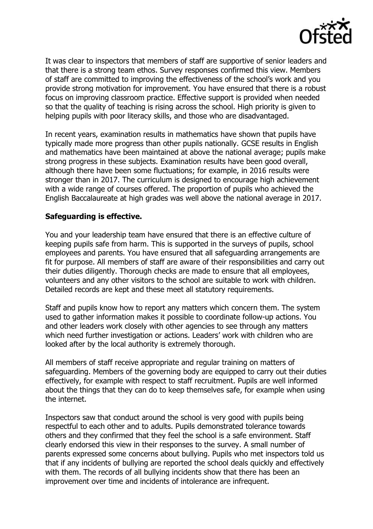

It was clear to inspectors that members of staff are supportive of senior leaders and that there is a strong team ethos. Survey responses confirmed this view. Members of staff are committed to improving the effectiveness of the school's work and you provide strong motivation for improvement. You have ensured that there is a robust focus on improving classroom practice. Effective support is provided when needed so that the quality of teaching is rising across the school. High priority is given to helping pupils with poor literacy skills, and those who are disadvantaged.

In recent years, examination results in mathematics have shown that pupils have typically made more progress than other pupils nationally. GCSE results in English and mathematics have been maintained at above the national average; pupils make strong progress in these subjects. Examination results have been good overall, although there have been some fluctuations; for example, in 2016 results were stronger than in 2017. The curriculum is designed to encourage high achievement with a wide range of courses offered. The proportion of pupils who achieved the English Baccalaureate at high grades was well above the national average in 2017.

## **Safeguarding is effective.**

You and your leadership team have ensured that there is an effective culture of keeping pupils safe from harm. This is supported in the surveys of pupils, school employees and parents. You have ensured that all safeguarding arrangements are fit for purpose. All members of staff are aware of their responsibilities and carry out their duties diligently. Thorough checks are made to ensure that all employees, volunteers and any other visitors to the school are suitable to work with children. Detailed records are kept and these meet all statutory requirements.

Staff and pupils know how to report any matters which concern them. The system used to gather information makes it possible to coordinate follow-up actions. You and other leaders work closely with other agencies to see through any matters which need further investigation or actions. Leaders' work with children who are looked after by the local authority is extremely thorough.

All members of staff receive appropriate and regular training on matters of safeguarding. Members of the governing body are equipped to carry out their duties effectively, for example with respect to staff recruitment. Pupils are well informed about the things that they can do to keep themselves safe, for example when using the internet.

Inspectors saw that conduct around the school is very good with pupils being respectful to each other and to adults. Pupils demonstrated tolerance towards others and they confirmed that they feel the school is a safe environment. Staff clearly endorsed this view in their responses to the survey. A small number of parents expressed some concerns about bullying. Pupils who met inspectors told us that if any incidents of bullying are reported the school deals quickly and effectively with them. The records of all bullying incidents show that there has been an improvement over time and incidents of intolerance are infrequent.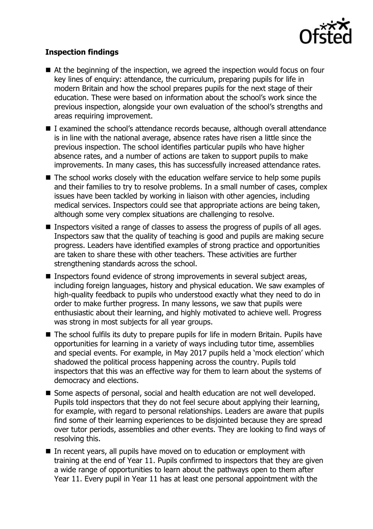

# **Inspection findings**

- At the beginning of the inspection, we agreed the inspection would focus on four key lines of enquiry: attendance, the curriculum, preparing pupils for life in modern Britain and how the school prepares pupils for the next stage of their education. These were based on information about the school's work since the previous inspection, alongside your own evaluation of the school's strengths and areas requiring improvement.
- I examined the school's attendance records because, although overall attendance is in line with the national average, absence rates have risen a little since the previous inspection. The school identifies particular pupils who have higher absence rates, and a number of actions are taken to support pupils to make improvements. In many cases, this has successfully increased attendance rates.
- The school works closely with the education welfare service to help some pupils and their families to try to resolve problems. In a small number of cases, complex issues have been tackled by working in liaison with other agencies, including medical services. Inspectors could see that appropriate actions are being taken, although some very complex situations are challenging to resolve.
- Inspectors visited a range of classes to assess the progress of pupils of all ages. Inspectors saw that the quality of teaching is good and pupils are making secure progress. Leaders have identified examples of strong practice and opportunities are taken to share these with other teachers. These activities are further strengthening standards across the school.
- Inspectors found evidence of strong improvements in several subject areas, including foreign languages, history and physical education. We saw examples of high-quality feedback to pupils who understood exactly what they need to do in order to make further progress. In many lessons, we saw that pupils were enthusiastic about their learning, and highly motivated to achieve well. Progress was strong in most subjects for all year groups.
- The school fulfils its duty to prepare pupils for life in modern Britain. Pupils have opportunities for learning in a variety of ways including tutor time, assemblies and special events. For example, in May 2017 pupils held a 'mock election' which shadowed the political process happening across the country. Pupils told inspectors that this was an effective way for them to learn about the systems of democracy and elections.
- Some aspects of personal, social and health education are not well developed. Pupils told inspectors that they do not feel secure about applying their learning, for example, with regard to personal relationships. Leaders are aware that pupils find some of their learning experiences to be disjointed because they are spread over tutor periods, assemblies and other events. They are looking to find ways of resolving this.
- In recent years, all pupils have moved on to education or employment with training at the end of Year 11. Pupils confirmed to inspectors that they are given a wide range of opportunities to learn about the pathways open to them after Year 11. Every pupil in Year 11 has at least one personal appointment with the